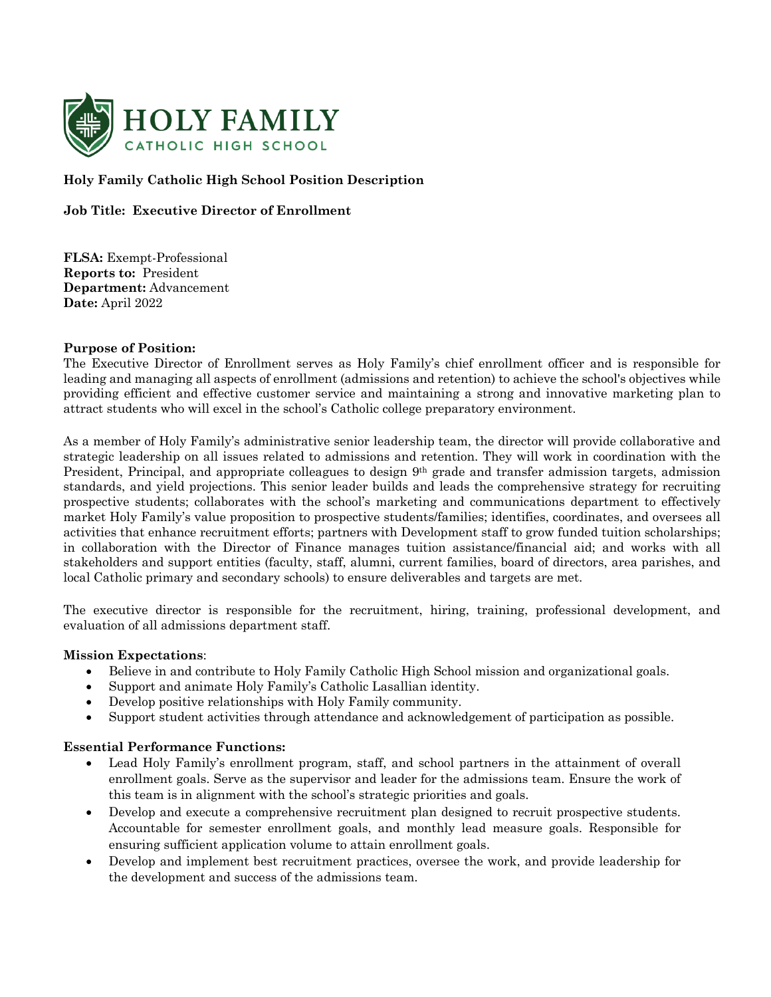

# **Holy Family Catholic High School Position Description**

## **Job Title: Executive Director of Enrollment**

**FLSA:** Exempt-Professional **Reports to:** President **Department:** Advancement **Date:** April 2022

### **Purpose of Position:**

The Executive Director of Enrollment serves as Holy Family's chief enrollment officer and is responsible for leading and managing all aspects of enrollment (admissions and retention) to achieve the school's objectives while providing efficient and effective customer service and maintaining a strong and innovative marketing plan to attract students who will excel in the school's Catholic college preparatory environment.

As a member of Holy Family's administrative senior leadership team, the director will provide collaborative and strategic leadership on all issues related to admissions and retention. They will work in coordination with the President, Principal, and appropriate colleagues to design 9th grade and transfer admission targets, admission standards, and yield projections. This senior leader builds and leads the comprehensive strategy for recruiting prospective students; collaborates with the school's marketing and communications department to effectively market Holy Family's value proposition to prospective students/families; identifies, coordinates, and oversees all activities that enhance recruitment efforts; partners with Development staff to grow funded tuition scholarships; in collaboration with the Director of Finance manages tuition assistance/financial aid; and works with all stakeholders and support entities (faculty, staff, alumni, current families, board of directors, area parishes, and local Catholic primary and secondary schools) to ensure deliverables and targets are met.

The executive director is responsible for the recruitment, hiring, training, professional development, and evaluation of all admissions department staff.

### **Mission Expectations**:

- Believe in and contribute to Holy Family Catholic High School mission and organizational goals.
- Support and animate Holy Family's Catholic Lasallian identity.
- Develop positive relationships with Holy Family community.
- Support student activities through attendance and acknowledgement of participation as possible.

#### **Essential Performance Functions:**

- Lead Holy Family's enrollment program, staff, and school partners in the attainment of overall enrollment goals. Serve as the supervisor and leader for the admissions team. Ensure the work of this team is in alignment with the school's strategic priorities and goals.
- Develop and execute a comprehensive recruitment plan designed to recruit prospective students. Accountable for semester enrollment goals, and monthly lead measure goals. Responsible for ensuring sufficient application volume to attain enrollment goals.
- Develop and implement best recruitment practices, oversee the work, and provide leadership for the development and success of the admissions team.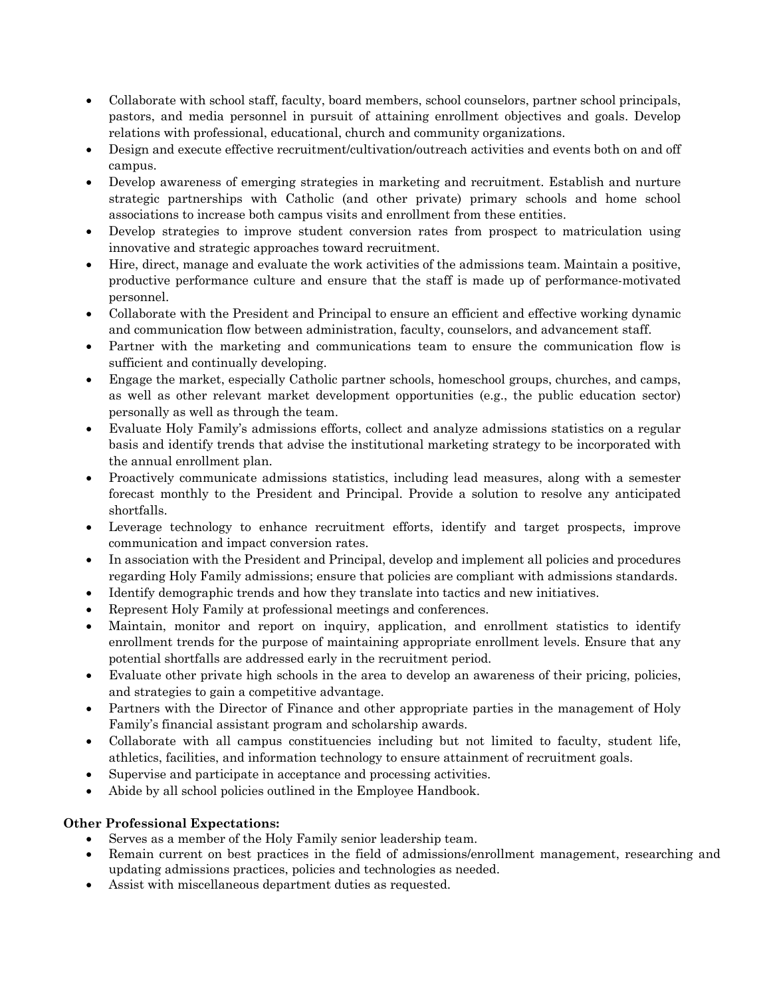- Collaborate with school staff, faculty, board members, school counselors, partner school principals, pastors, and media personnel in pursuit of attaining enrollment objectives and goals. Develop relations with professional, educational, church and community organizations.
- Design and execute effective recruitment/cultivation/outreach activities and events both on and off campus.
- Develop awareness of emerging strategies in marketing and recruitment. Establish and nurture strategic partnerships with Catholic (and other private) primary schools and home school associations to increase both campus visits and enrollment from these entities.
- Develop strategies to improve student conversion rates from prospect to matriculation using innovative and strategic approaches toward recruitment.
- Hire, direct, manage and evaluate the work activities of the admissions team. Maintain a positive, productive performance culture and ensure that the staff is made up of performance-motivated personnel.
- Collaborate with the President and Principal to ensure an efficient and effective working dynamic and communication flow between administration, faculty, counselors, and advancement staff.
- Partner with the marketing and communications team to ensure the communication flow is sufficient and continually developing.
- Engage the market, especially Catholic partner schools, homeschool groups, churches, and camps, as well as other relevant market development opportunities (e.g., the public education sector) personally as well as through the team.
- Evaluate Holy Family's admissions efforts, collect and analyze admissions statistics on a regular basis and identify trends that advise the institutional marketing strategy to be incorporated with the annual enrollment plan.
- Proactively communicate admissions statistics, including lead measures, along with a semester forecast monthly to the President and Principal. Provide a solution to resolve any anticipated shortfalls.
- Leverage technology to enhance recruitment efforts, identify and target prospects, improve communication and impact conversion rates.
- In association with the President and Principal, develop and implement all policies and procedures regarding Holy Family admissions; ensure that policies are compliant with admissions standards.
- Identify demographic trends and how they translate into tactics and new initiatives.
- Represent Holy Family at professional meetings and conferences.
- Maintain, monitor and report on inquiry, application, and enrollment statistics to identify enrollment trends for the purpose of maintaining appropriate enrollment levels. Ensure that any potential shortfalls are addressed early in the recruitment period.
- Evaluate other private high schools in the area to develop an awareness of their pricing, policies, and strategies to gain a competitive advantage.
- Partners with the Director of Finance and other appropriate parties in the management of Holy Family's financial assistant program and scholarship awards.
- Collaborate with all campus constituencies including but not limited to faculty, student life, athletics, facilities, and information technology to ensure attainment of recruitment goals.
- Supervise and participate in acceptance and processing activities.
- Abide by all school policies outlined in the Employee Handbook.

## **Other Professional Expectations:**

- Serves as a member of the Holy Family senior leadership team.
- Remain current on best practices in the field of admissions/enrollment management, researching and updating admissions practices, policies and technologies as needed.
- Assist with miscellaneous department duties as requested.